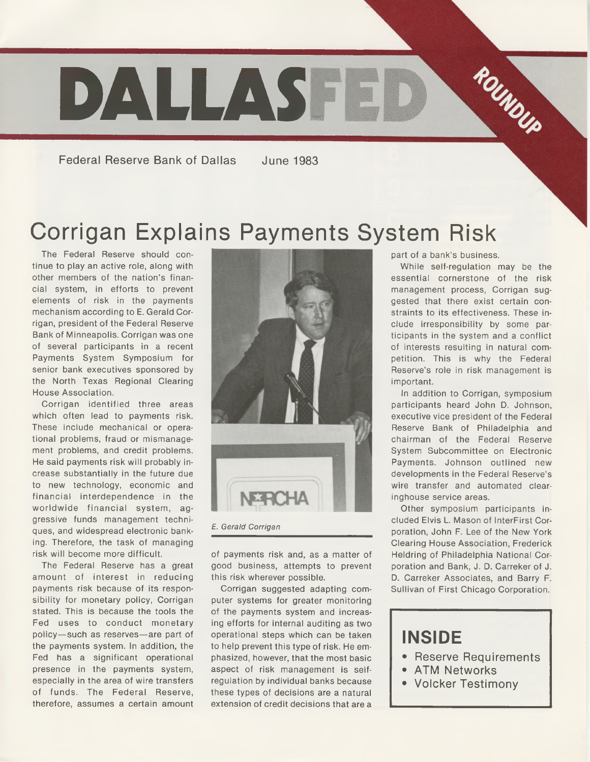

**Federal Reserve Bank of Dallas June 1983**

## Corrigan Explains Payments System Risk

The Federal Reserve should continue to play an active role, along with other members of the nation's financial system, in efforts to prevent elements of risk in the payments mechanism according to E. Gerald Corrigan, president of the Federal Reserve Bank of Minneapolis. Corrigan was one of several participants in a recent Payments System Symposium for senior bank executives sponsored by the North Texas Regional Clearing House Association.

Corrigan identified three areas which often lead to payments risk. These include mechanical or operational problems, fraud or mismanagement problems, and credit problems. He said payments risk will probably increase substantially in the future due to new technology, economic and financial interdependence in the worldwide financial system, aggressive funds management techniques, and widespread electronic banking. Therefore, the task of managing risk will become more difficult.

The Federal Reserve has a great amount of interest in reducing payments risk because of its responsibility for monetary policy, Corrigan stated. This is because the tools the Fed uses to conduct monetary policy—such as reserves—are part of the payments system. In addition, the Fed has a significant operational presence in the payments system, especially in the area of wire transfers of funds. The Federal Reserve, therefore, assumes a certain amount



*E. Gerald Corrigan*

of payments risk and, as a matter of good business, attempts to prevent this risk wherever possible.

Corrigan suggested adapting computer systems for greater monitoring of the payments system and increasing efforts for internal auditing as two operational steps which can be taken to help prevent this type of risk. He emphasized, however, that the most basic aspect of risk management is selfregulation by individual banks because these types of decisions are a natural extension of credit decisions that are a

part of a bank's business.

While self-regulation may be the essential cornerstone of the risk management process, Corrigan suggested that there exist certain constraints to its effectiveness. These include irresponsibility by some participants in the system and a conflict of interests resulting in natural competition. This is why the Federal Reserve's role in risk management is important.

In addition to Corrigan, symposium participants heard John D. Johnson, executive vice president of the Federal Reserve Bank of Philadelphia and chairman of the Federal Reserve System Subcommittee on Electronic Payments. Johnson outlined new developments in the Federal Reserve's wire transfer and automated clearinghouse service areas.

Other symposium participants included Elvis L. Mason of InterFirst Corporation, John F. Lee of the New York Clearing House Association, Frederick Heldring of Philadelphia National Corporation and Bank, J. D. Carreker of J. D. Carreker Associates, and Barry F. Sullivan of First Chicago Corporation.

### **INSIDE**

- **Reserve Requirements**
- **ATM Networks**
- **Volcker Testimony**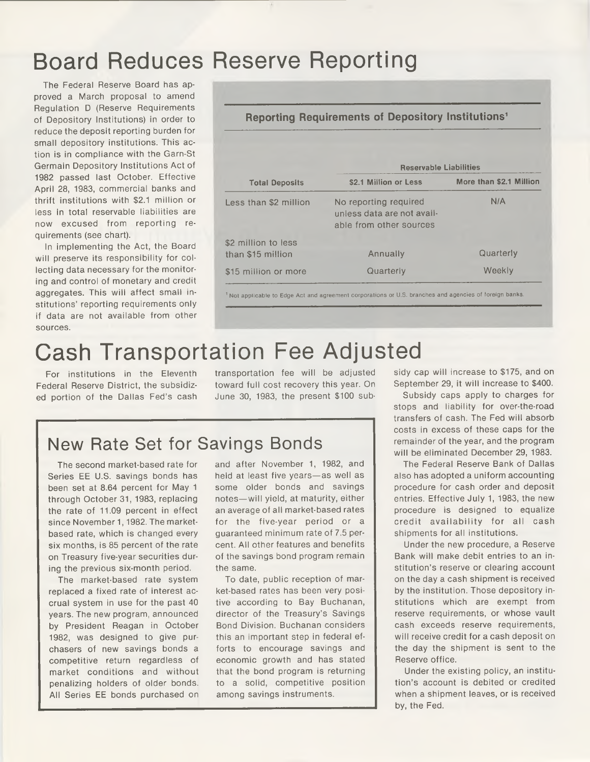## Board Reduces Reserve Reporting

The Federal Reserve Board has approved a March proposal to amend Regulation D (Reserve Requirements of Depository Institutions) in order to reduce the deposit reporting burden for small depository institutions. This action is in compliance with the Garn-St Germain Depository Institutions Act of 1982 passed last October. Effective April 28, 1983, commercial banks and thrift institutions with \$2.1 million or less in total reservable liabilities are now excused from reporting requirements (see chart).

In implementing the Act, the Board will preserve its responsibility for collecting data necessary for the monitoring and control of monetary and credit aggregates. This will affect small institutions' reporting requirements only if data are not available from other sources.

| <b>Reporting Requirements of Depository Institutions<sup>1</sup></b> |                                                                                |                         |
|----------------------------------------------------------------------|--------------------------------------------------------------------------------|-------------------------|
| <b>Total Deposits</b>                                                | <b>Reservable Liabilities</b>                                                  |                         |
|                                                                      | \$2.1 Million or Less                                                          | More than \$2.1 Million |
| Less than \$2 million                                                | No reporting required<br>unless data are not avail-<br>able from other sources | N/A                     |
| \$2 million to less                                                  |                                                                                |                         |
| than \$15 million                                                    | Annually                                                                       | Quarterly               |
| \$15 million or more                                                 | Quarterly                                                                      | Weekly                  |

## Cash Transportation Fee Adjusted

Federal Reserve District, the subsidized portion of the Dallas Fed's cash toward full cost recovery this year. On June 30, 1983, the present \$100 sub-

### New Rate Set for Savings Bonds

The second market-based rate for Series EE U.S. savings bonds has been set at 8.64 percent for May 1 through October 31, 1983, replacing the rate of 11.09 percent in effect since November 1, 1982. The marketbased rate, which is changed every six months, is 85 percent of the rate on Treasury five-year securities during the previous six-month period.

The market-based rate system replaced a fixed rate of interest accrual system in use for the past 40 years. The new program, announced by President Reagan in October 1982, was designed to give purchasers of new savings bonds a competitive return regardless of market conditions and without penalizing holders of older bonds. All Series EE bonds purchased on and after November 1, 1982, and held at least five years—as well as some older bonds and savings notes—will yield, at maturity, either an average of all market-based rates for the five-year period or a guaranteed minimum rate of 7.5 percent. All other features and benefits of the savings bond program remain the same.

To date, public reception of market-based rates has been very positive according to Bay Buchanan, director of the Treasury's Savings Bond Division. Buchanan considers this an important step in federal efforts to encourage savings and economic growth and has stated that the bond program is returning to a solid, competitive position among savings instruments.

For institutions in the Eleventh - transportation fee will be adjusted - sidy-cap-will-increase-to-\$175, and on September 29, it will increase to \$400.

> Subsidy caps apply to charges for stops and liability for over-the-road transfers of cash. The Fed will absorb costs in excess of these caps for the remainder of the year, and the program will be eliminated December 29, 1983.

> The Federal Reserve Bank of Dallas also has adopted a uniform accounting procedure for cash order and deposit entries. Effective July 1, 1983, the new procedure is designed to equalize credit availability for all cash shipments for all institutions.

> Under the new procedure, a Reserve Bank will make debit entries to an institution's reserve or clearing account on the day a cash shipment is received by the institution. Those depository institutions which are exempt from reserve requirements, or whose vault cash exceeds reserve requirements, will receive credit for a cash deposit on the day the shipment is sent to the Reserve office.

> Under the existing policy, an institution's account is debited or credited when a shipment leaves, or is received by, the Fed.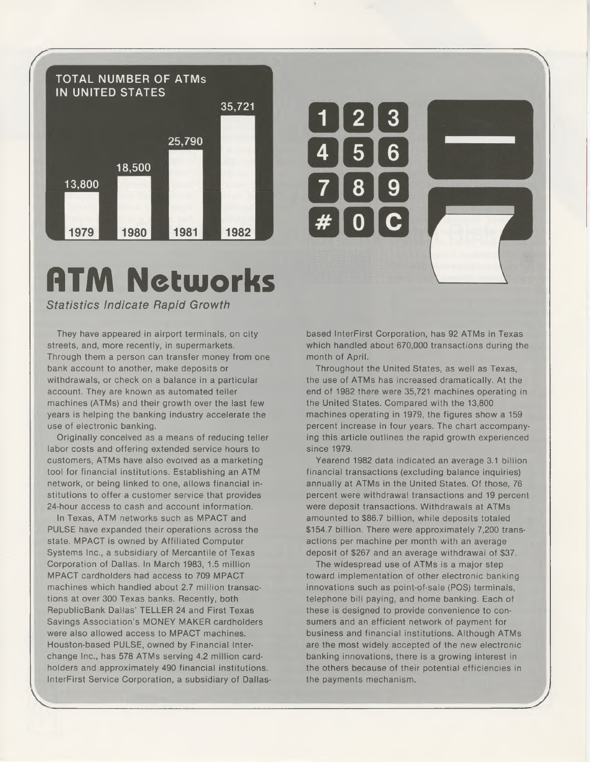

# **ATM Networks**

#### *Statistics Indicate Rapid Growth*

They have appeared in airport terminals, on city streets, and, more recently, in supermarkets. Through them a person can transfer money from one bank account to another, make deposits or withdrawals, or check on a balance in a particular account. They are known as automated teller machines (ATMs) and their growth over the last few years is helping the banking industry accelerate the use of electronic banking.

Originally conceived as a means of reducing teller labor costs and offering extended service hours to customers, ATMs have also evolved as a marketing tool for financial institutions. Establishing an ATM network, or being linked to one, allows financial institutions to offer a customer service that provides 24-hour access to cash and account information.

In Texas, ATM networks such as MPACT and PULSE have expanded their operations across the state. MPACT is owned by Affiliated Computer Systems Inc., a subsidiary of Mercantile of Texas Corporation of Dallas. In March 1983, 1.5 million MPACT cardholders had access to 709 MPACT machines which handled about 2.7 million transactions at over 300 Texas banks. Recently, both RepublicBank Dallas' TELLER 24 and First Texas Savings Association's MONEY MAKER cardholders were also allowed access to MPACT machines. Houston-based PULSE, owned by Financial Interchange Inc., has 578 ATMs serving 4.2 million cardholders and approximately 490 financial institutions. InterFirst Service Corporation, a subsidiary of Dallasbased InterFirst Corporation, has 92 ATMs in Texas which handled about 670,000 transactions during the month of April.

 $\bf{O}$ 

Throughout the United States, as well as Texas, the use of ATMs has increased dramatically. At the end of 1982 there were 35,721 machines operating in the United States. Compared with the 13,800 machines operating in 1979, the figures show a 159 percent increase in four years. The chart accompanying this article outlines the rapid growth experienced since 1979.

Yearend 1982 data indicated an average 3.1 billion financial transactions (excluding balance inquiries) annually at ATMs in the United States. Of those, 76 percent were withdrawal transactions and 19 percent were deposit transactions. Withdrawals at ATMs amounted to \$86.7 billion, while deposits totaled \$154.7 billion. There were approximately 7,200 transactions per machine per month with an average deposit of \$267 and an average withdrawal of \$37.

The widespread use of ATMs is a major step toward implementation of other electronic banking innovations such as point-of-sale (PCS) terminals, telephone bill paying, and home banking. Each of these is designed to provide convenience to consumers and an efficient network of payment for business and financial institutions. Although ATMs are the most widely accepted of the new electronic banking innovations, there is a growing interest in the others because of their potential efficiencies in the payments mechanism.